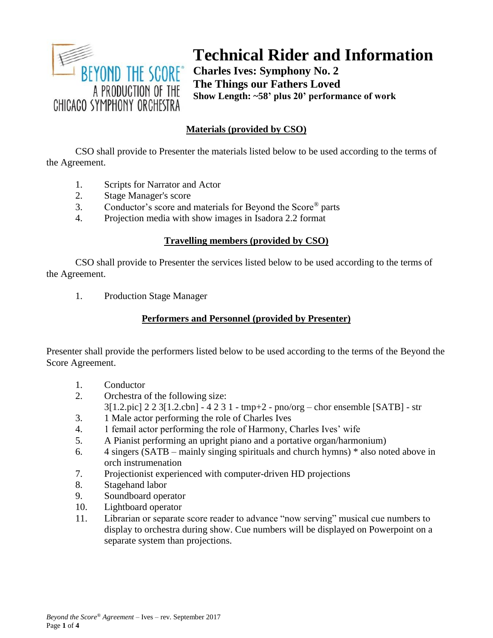

# **Technical Rider and Information**

**Charles Ives: Symphony No. 2 The Things our Fathers Loved Show Length: ~58' plus 20' performance of work**

# **Materials (provided by CSO)**

CSO shall provide to Presenter the materials listed below to be used according to the terms of the Agreement.

- 1. Scripts for Narrator and Actor
- 2. Stage Manager's score
- 3. Conductor's score and materials for Beyond the Score® parts
- 4. Projection media with show images in Isadora 2.2 format

#### **Travelling members (provided by CSO)**

CSO shall provide to Presenter the services listed below to be used according to the terms of the Agreement.

1. Production Stage Manager

# **Performers and Personnel (provided by Presenter)**

Presenter shall provide the performers listed below to be used according to the terms of the Beyond the Score Agreement.

- 1. Conductor
- 2. Orchestra of the following size:
	- 3[1.2.pic] 2 2 3[1.2.cbn] 4 2 3 1 tmp+2 pno/org chor ensemble [SATB] str
- 3. 1 Male actor performing the role of Charles Ives
- 4. 1 femail actor performing the role of Harmony, Charles Ives' wife
- 5. A Pianist performing an upright piano and a portative organ/harmonium)
- 6. 4 singers (SATB mainly singing spirituals and church hymns) \* also noted above in orch instrumenation
- 7. Projectionist experienced with computer-driven HD projections
- 8. Stagehand labor
- 9. Soundboard operator
- 10. Lightboard operator
- 11. Librarian or separate score reader to advance "now serving" musical cue numbers to display to orchestra during show. Cue numbers will be displayed on Powerpoint on a separate system than projections.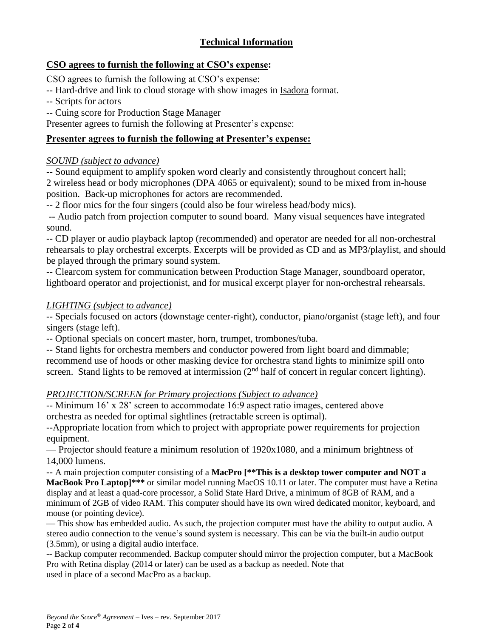# **Technical Information**

## **CSO agrees to furnish the following at CSO's expense:**

CSO agrees to furnish the following at CSO's expense:

- -- Hard-drive and link to cloud storage with show images in Isadora format.
- -- Scripts for actors
- -- Cuing score for Production Stage Manager

Presenter agrees to furnish the following at Presenter's expense:

# **Presenter agrees to furnish the following at Presenter's expense:**

## *SOUND (subject to advance)*

-- Sound equipment to amplify spoken word clearly and consistently throughout concert hall; 2 wireless head or body microphones (DPA 4065 or equivalent); sound to be mixed from in-house position. Back-up microphones for actors are recommended.

-- 2 floor mics for the four singers (could also be four wireless head/body mics).

-- Audio patch from projection computer to sound board. Many visual sequences have integrated sound.

-- CD player or audio playback laptop (recommended) and operator are needed for all non-orchestral rehearsals to play orchestral excerpts. Excerpts will be provided as CD and as MP3/playlist, and should be played through the primary sound system.

-- Clearcom system for communication between Production Stage Manager, soundboard operator, lightboard operator and projectionist, and for musical excerpt player for non-orchestral rehearsals.

## *LIGHTING (subject to advance)*

-- Specials focused on actors (downstage center-right), conductor, piano/organist (stage left), and four singers (stage left).

-- Optional specials on concert master, horn, trumpet, trombones/tuba.

-- Stand lights for orchestra members and conductor powered from light board and dimmable; recommend use of hoods or other masking device for orchestra stand lights to minimize spill onto screen. Stand lights to be removed at intermission  $(2<sup>nd</sup>$  half of concert in regular concert lighting).

# *PROJECTION/SCREEN for Primary projections (Subject to advance)*

-- Minimum 16' x 28' screen to accommodate 16:9 aspect ratio images, centered above orchestra as needed for optimal sightlines (retractable screen is optimal).

--Appropriate location from which to project with appropriate power requirements for projection equipment.

— Projector should feature a minimum resolution of 1920x1080, and a minimum brightness of 14,000 lumens.

-- A main projection computer consisting of a **MacPro [\*\*This is a desktop tower computer and NOT a MacBook Pro Laptop]\*\*\*** or similar model running MacOS 10.11 or later. The computer must have a Retina display and at least a quad-core processor, a Solid State Hard Drive, a minimum of 8GB of RAM, and a minimum of 2GB of video RAM. This computer should have its own wired dedicated monitor, keyboard, and mouse (or pointing device).

— This show has embedded audio. As such, the projection computer must have the ability to output audio. A stereo audio connection to the venue's sound system is necessary. This can be via the built-in audio output (3.5mm), or using a digital audio interface.

-- Backup computer recommended. Backup computer should mirror the projection computer, but a MacBook Pro with Retina display (2014 or later) can be used as a backup as needed. Note that used in place of a second MacPro as a backup.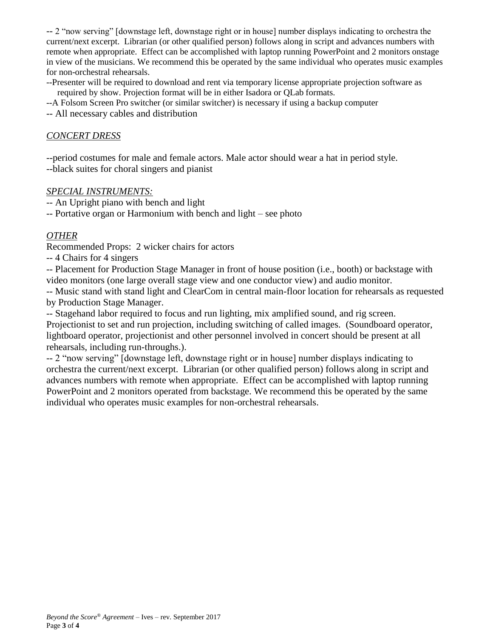-- 2 "now serving" [downstage left, downstage right or in house] number displays indicating to orchestra the current/next excerpt. Librarian (or other qualified person) follows along in script and advances numbers with remote when appropriate. Effect can be accomplished with laptop running PowerPoint and 2 monitors onstage in view of the musicians. We recommend this be operated by the same individual who operates music examples for non-orchestral rehearsals.

--Presenter will be required to download and rent via temporary license appropriate projection software as required by show. Projection format will be in either Isadora or QLab formats.

--A Folsom Screen Pro switcher (or similar switcher) is necessary if using a backup computer

-- All necessary cables and distribution

#### *CONCERT DRESS*

--period costumes for male and female actors. Male actor should wear a hat in period style. --black suites for choral singers and pianist

#### *SPECIAL INSTRUMENTS:*

-- An Upright piano with bench and light

-- Portative organ or Harmonium with bench and light – see photo

#### *OTHER*

Recommended Props: 2 wicker chairs for actors

-- 4 Chairs for 4 singers

-- Placement for Production Stage Manager in front of house position (i.e., booth) or backstage with video monitors (one large overall stage view and one conductor view) and audio monitor.

-- Music stand with stand light and ClearCom in central main-floor location for rehearsals as requested by Production Stage Manager.

-- Stagehand labor required to focus and run lighting, mix amplified sound, and rig screen.

Projectionist to set and run projection, including switching of called images. (Soundboard operator, lightboard operator, projectionist and other personnel involved in concert should be present at all rehearsals, including run-throughs.).

-- 2 "now serving" [downstage left, downstage right or in house] number displays indicating to orchestra the current/next excerpt. Librarian (or other qualified person) follows along in script and advances numbers with remote when appropriate. Effect can be accomplished with laptop running PowerPoint and 2 monitors operated from backstage. We recommend this be operated by the same individual who operates music examples for non-orchestral rehearsals.